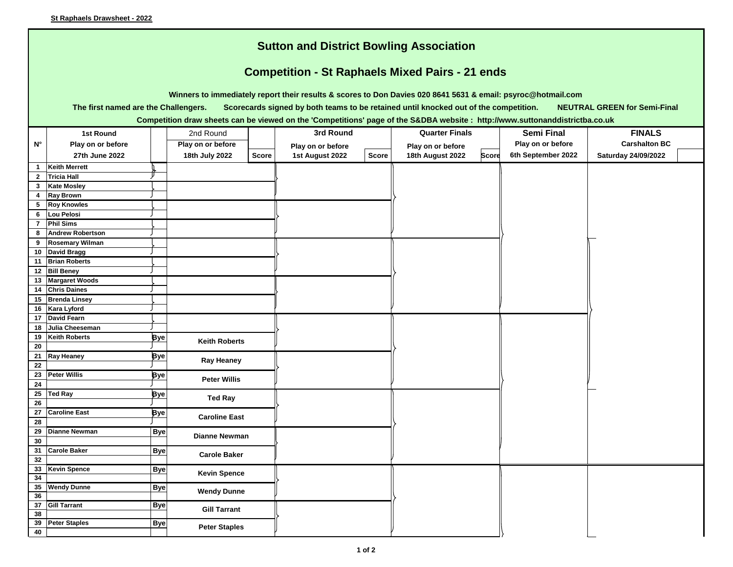| <b>Sutton and District Bowling Association</b><br><b>Competition - St Raphaels Mixed Pairs - 21 ends</b>                                                            |                                          |            |                      |              |                   |              |                                  |                    |                      |  |  |  |
|---------------------------------------------------------------------------------------------------------------------------------------------------------------------|------------------------------------------|------------|----------------------|--------------|-------------------|--------------|----------------------------------|--------------------|----------------------|--|--|--|
|                                                                                                                                                                     |                                          |            |                      |              |                   |              |                                  |                    |                      |  |  |  |
| Winners to immediately report their results & scores to Don Davies 020 8641 5631 & email: psyroc@hotmail.com                                                        |                                          |            |                      |              |                   |              |                                  |                    |                      |  |  |  |
| The first named are the Challengers.<br>Scorecards signed by both teams to be retained until knocked out of the competition.<br><b>NEUTRAL GREEN for Semi-Final</b> |                                          |            |                      |              |                   |              |                                  |                    |                      |  |  |  |
| Competition draw sheets can be viewed on the 'Competitions' page of the S&DBA website: http://www.suttonanddistrictba.co.uk                                         |                                          |            |                      |              |                   |              |                                  |                    |                      |  |  |  |
|                                                                                                                                                                     | 1st Round                                |            | 2nd Round            |              | 3rd Round         |              | <b>Quarter Finals</b>            | <b>Semi Final</b>  | <b>FINALS</b>        |  |  |  |
| $N^{\circ}$                                                                                                                                                         |                                          |            |                      |              |                   |              |                                  | Play on or before  | <b>Carshalton BC</b> |  |  |  |
|                                                                                                                                                                     | Play on or before                        |            | Play on or before    |              | Play on or before |              | Play on or before                |                    |                      |  |  |  |
|                                                                                                                                                                     | 27th June 2022                           |            | 18th July 2022       | <b>Score</b> | 1st August 2022   | <b>Score</b> | 18th August 2022<br><b>Score</b> | 6th September 2022 | Saturday 24/09/2022  |  |  |  |
| $\mathbf{1}$                                                                                                                                                        | <b>Keith Merrett</b>                     |            |                      |              |                   |              |                                  |                    |                      |  |  |  |
| $\overline{2}$<br>$\mathbf{3}$                                                                                                                                      | <b>Tricia Hall</b><br><b>Kate Mosley</b> |            |                      |              |                   |              |                                  |                    |                      |  |  |  |
| 4                                                                                                                                                                   | <b>Ray Brown</b>                         |            |                      |              |                   |              |                                  |                    |                      |  |  |  |
| 5                                                                                                                                                                   | <b>Roy Knowles</b>                       |            |                      |              |                   |              |                                  |                    |                      |  |  |  |
| 6                                                                                                                                                                   | Lou Pelosi                               |            |                      |              |                   |              |                                  |                    |                      |  |  |  |
| $\overline{7}$                                                                                                                                                      | <b>Phil Sims</b>                         |            |                      |              |                   |              |                                  |                    |                      |  |  |  |
| 8                                                                                                                                                                   | <b>Andrew Robertson</b>                  |            |                      |              |                   |              |                                  |                    |                      |  |  |  |
| 9                                                                                                                                                                   | <b>Rosemary Wilman</b>                   |            |                      |              |                   |              |                                  |                    |                      |  |  |  |
| 10                                                                                                                                                                  | <b>David Bragg</b>                       |            |                      |              |                   |              |                                  |                    |                      |  |  |  |
| 11                                                                                                                                                                  | <b>Brian Roberts</b>                     |            |                      |              |                   |              |                                  |                    |                      |  |  |  |
|                                                                                                                                                                     | 12 Bill Beney                            |            |                      |              |                   |              |                                  |                    |                      |  |  |  |
| 13                                                                                                                                                                  | <b>Margaret Woods</b>                    |            |                      |              |                   |              |                                  |                    |                      |  |  |  |
| 14                                                                                                                                                                  | <b>Chris Daines</b>                      |            |                      |              |                   |              |                                  |                    |                      |  |  |  |
| 15                                                                                                                                                                  | <b>Brenda Linsey</b>                     |            |                      |              |                   |              |                                  |                    |                      |  |  |  |
| 16<br>17                                                                                                                                                            | Kara Lyford<br><b>David Fearn</b>        |            |                      |              |                   |              |                                  |                    |                      |  |  |  |
| 18                                                                                                                                                                  | Julia Cheeseman                          |            |                      |              |                   |              |                                  |                    |                      |  |  |  |
| 19                                                                                                                                                                  | <b>Keith Roberts</b>                     | Bye        |                      |              |                   |              |                                  |                    |                      |  |  |  |
| 20                                                                                                                                                                  |                                          |            | <b>Keith Roberts</b> |              |                   |              |                                  |                    |                      |  |  |  |
| 21                                                                                                                                                                  | <b>Ray Heaney</b>                        | Bye        |                      |              |                   |              |                                  |                    |                      |  |  |  |
| 22                                                                                                                                                                  |                                          |            | <b>Ray Heaney</b>    |              |                   |              |                                  |                    |                      |  |  |  |
| 23                                                                                                                                                                  | <b>Peter Willis</b>                      | Bye        |                      |              |                   |              |                                  |                    |                      |  |  |  |
| 24                                                                                                                                                                  |                                          |            | <b>Peter Willis</b>  |              |                   |              |                                  |                    |                      |  |  |  |
| 25                                                                                                                                                                  | <b>Ted Ray</b>                           | Bye        | <b>Ted Ray</b>       |              |                   |              |                                  |                    |                      |  |  |  |
| 26                                                                                                                                                                  |                                          |            |                      |              |                   |              |                                  |                    |                      |  |  |  |
| 27                                                                                                                                                                  | <b>Caroline East</b>                     | Bye        | <b>Caroline East</b> |              |                   |              |                                  |                    |                      |  |  |  |
| 28                                                                                                                                                                  |                                          |            |                      |              |                   |              |                                  |                    |                      |  |  |  |
| 29<br>30                                                                                                                                                            | <b>Dianne Newman</b>                     | <b>Bye</b> | <b>Dianne Newman</b> |              |                   |              |                                  |                    |                      |  |  |  |
| 31                                                                                                                                                                  | <b>Carole Baker</b>                      |            |                      |              |                   |              |                                  |                    |                      |  |  |  |
| 32                                                                                                                                                                  |                                          | <b>Bye</b> | <b>Carole Baker</b>  |              |                   |              |                                  |                    |                      |  |  |  |
| 33                                                                                                                                                                  | <b>Kevin Spence</b>                      | <b>Bye</b> |                      |              |                   |              |                                  |                    |                      |  |  |  |
| 34                                                                                                                                                                  |                                          |            | <b>Kevin Spence</b>  |              |                   |              |                                  |                    |                      |  |  |  |
| $35\phantom{a}$                                                                                                                                                     | <b>Wendy Dunne</b>                       | <b>Bye</b> | <b>Wendy Dunne</b>   |              |                   |              |                                  |                    |                      |  |  |  |
| 36                                                                                                                                                                  |                                          |            |                      |              |                   |              |                                  |                    |                      |  |  |  |
| 37                                                                                                                                                                  | <b>Gill Tarrant</b>                      | <b>Bye</b> | <b>Gill Tarrant</b>  |              |                   |              |                                  |                    |                      |  |  |  |
| 38                                                                                                                                                                  |                                          |            |                      |              |                   |              |                                  |                    |                      |  |  |  |
| 39                                                                                                                                                                  | <b>Peter Staples</b>                     | <b>Bye</b> | <b>Peter Staples</b> |              |                   |              |                                  |                    |                      |  |  |  |
| 40                                                                                                                                                                  |                                          |            |                      |              |                   |              |                                  |                    |                      |  |  |  |